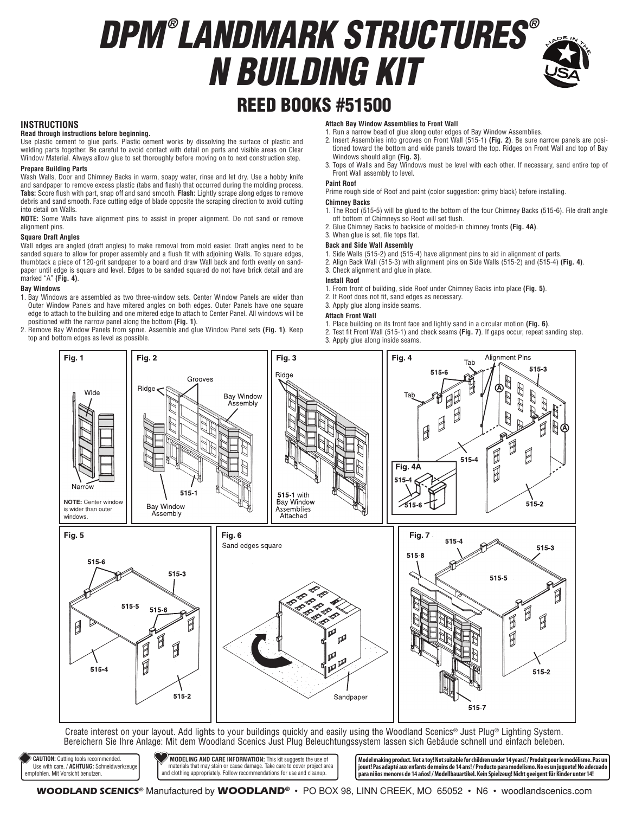# *DPM ® LANDMARK STRUCTURES ® N BUILDING KIT*



## REED BOOKS #51500

#### **INSTRUCTIONS**

#### **Read through instructions before beginning.**

Use plastic cement to glue parts. Plastic cement works by dissolving the surface of plastic and welding parts together. Be careful to avoid contact with detail on parts and visible areas on Clear Window Material. Always allow glue to set thoroughly before moving on to next construction step.

#### **Prepare Building Parts**

Wash Walls, Door and Chimney Backs in warm, soapy water, rinse and let dry. Use a hobby knife and sandpaper to remove excess plastic (tabs and flash) that occurred during the molding process. **Tabs:** Score flush with part, snap off and sand smooth. **Flash:** Lightly scrape along edges to remove debris and sand smooth. Face cutting edge of blade opposite the scraping direction to avoid cutting into detail on Walls.

**NOTE:** Some Walls have alignment pins to assist in proper alignment. Do not sand or remove alignment pins.

#### **Square Draft Angles**

Wall edges are angled (draft angles) to make removal from mold easier. Draft angles need to be sanded square to allow for proper assembly and a flush fit with adjoining Walls. To square edges, thumbtack a piece of 120-grit sandpaper to a board and draw Wall back and forth evenly on sandpaper until edge is square and level. Edges to be sanded squared do not have brick detail and are marked "A" **(Fig. 4)**.

#### **Bay Windows**

- 1. Bay Windows are assembled as two three-window sets. Center Window Panels are wider than Outer Window Panels and have mitered angles on both edges. Outer Panels have one square edge to attach to the building and one mitered edge to attach to Center Panel. All windows will be positioned with the narrow panel along the bottom **(Fig. 1)**.
- 2. Remove Bay Window Panels from sprue. Assemble and glue Window Panel sets **(Fig. 1)**. Keep top and bottom edges as level as possible.

#### **Attach Bay Window Assemblies to Front Wall**

1. Run a narrow bead of glue along outer edges of Bay Window Assemblies.

- 2. Insert Assemblies into grooves on Front Wall (515-1) **(Fig. 2)**. Be sure narrow panels are positioned toward the bottom and wide panels toward the top. Ridges on Front Wall and top of Bay Windows should align **(Fig. 3)**.
- 3. Tops of Walls and Bay Windows must be level with each other. If necessary, sand entire top of Front Wall assembly to level.

#### **Paint Roof**

Prime rough side of Roof and paint (color suggestion: grimy black) before installing. **Chimney Backs**

- 1. The Roof (515-5) will be glued to the bottom of the four Chimney Backs (515-6). File draft angle off bottom of Chimneys so Roof will set flush.
- 2. Glue Chimney Backs to backside of molded-in chimney fronts **(Fig. 4A)**.
- 3. When glue is set, file tops flat.

#### **Back and Side Wall Assembly**

- 1. Side Walls (515-2) and (515-4) have alignment pins to aid in alignment of parts.
- 2. Align Back Wall (515-3) with alignment pins on Side Walls (515-2) and (515-4) **(Fig. 4)**.
- 3. Check alignment and glue in place.

#### **Install Roof**

- 1. From front of building, slide Roof under Chimney Backs into place **(Fig. 5)**.
- 2. If Roof does not fit, sand edges as necessary.

#### 3. Apply glue along inside seams.

#### **Attach Front Wall**

- 1. Place building on its front face and lightly sand in a circular motion **(Fig. 6)**.
- 2. Test fit Front Wall (515-1) and check seams **(Fig. 7)**. If gaps occur, repeat sanding step. 3. Apply glue along inside seams.



Create interest on your layout. Add lights to your buildings quickly and easily using the Woodland Scenics® Just Plug® Lighting System. Bereichern Sie Ihre Anlage: Mit dem Woodland Scenics Just Plug Beleuchtungssystem lassen sich Gebäude schnell und einfach beleben.

 **CAUTION:** Cutting tools recommended. Use with care. / **ACHTUNG:** Schneidwerkzeuge empfohlen. Mit Vorsicht benutzen.

 **MODELING AND CARE INFORMATION:** This kit suggests the use of materials that may stain or cause damage. Take care to cover project area and clothing appropriately. Follow recommendations for use and cleanup. **Model making product. Not a toy! Not suitable for children under 14 years! / Produit pour le modélisme. Pas un jouet! Pas adapté aux enfants de moins de 14 ans! / Producto para modelismo. No es un juguete! No adecuado para niños menores de 14 años! / Modellbauartikel. Kein Spielzeug! Nicht geeigent für Kinder unter 14!**

**WOODLAND SCENICS®** Manufactured by **WOODLAND®** • PO BOX 98, LINN CREEK, MO 65052 • N6 • woodlandscenics.com